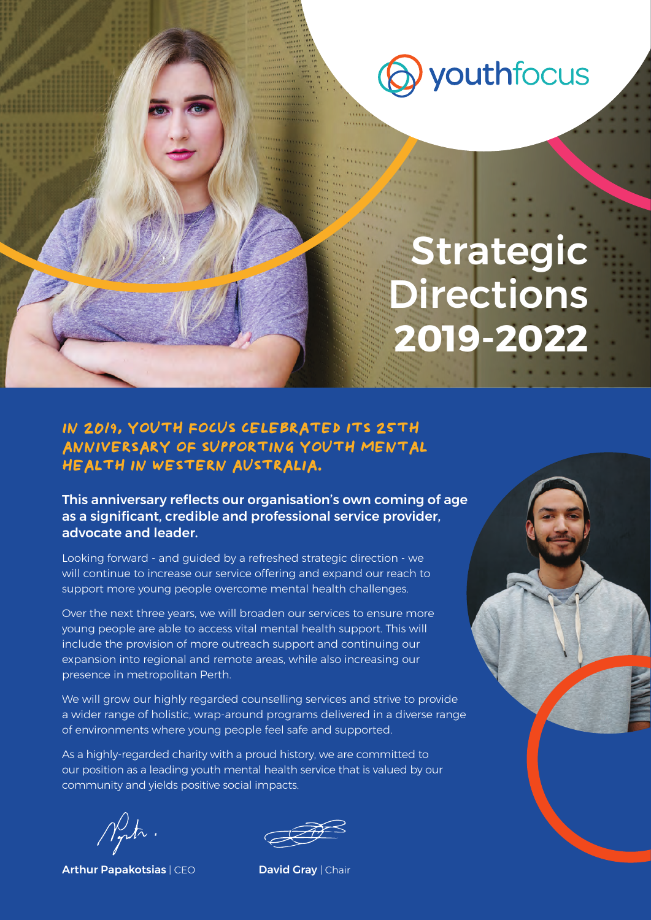

## Strategic Directions **2019-2022**

#### **IN 2019, YOUTH FOCUS CELEBRATED ITS 25TH ANNIVERSARY OF SUPPORTING YOUTH MENTAL HEALTH IN WESTERN AUSTRALIA.**

This anniversary reflects our organisation's own coming of age as a significant, credible and professional service provider, advocate and leader.

Looking forward - and guided by a refreshed strategic direction - we will continue to increase our service offering and expand our reach to support more young people overcome mental health challenges.

Over the next three years, we will broaden our services to ensure more young people are able to access vital mental health support. This will include the provision of more outreach support and continuing our expansion into regional and remote areas, while also increasing our presence in metropolitan Perth.

We will grow our highly regarded counselling services and strive to provide a wider range of holistic, wrap-around programs delivered in a diverse range of environments where young people feel safe and supported.

As a highly-regarded charity with a proud history, we are committed to our position as a leading youth mental health service that is valued by our community and yields positive social impacts.

 $\mathcal{N}_{\bm{\tau}}$ tr.

Arthur Papakotsias | CEO David Gray | Chair

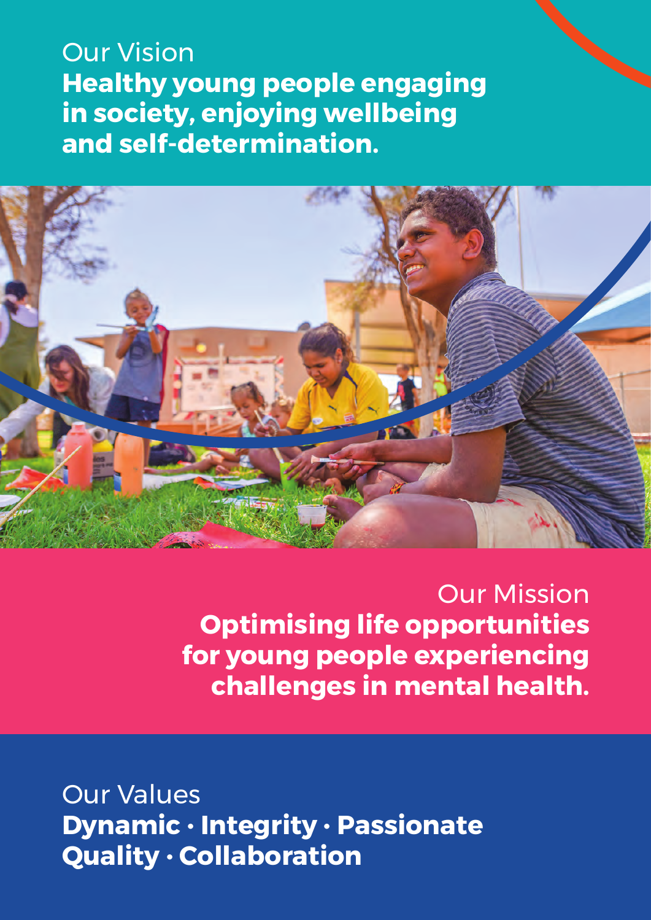Our Vision **Healthy young people engaging in society, enjoying wellbeing and self-determination.**



Our Mission **Optimising life opportunities for young people experiencing challenges in mental health.**

Our Values **Dynamic** • **Integrity** • **Passionate Quality** • **Collaboration**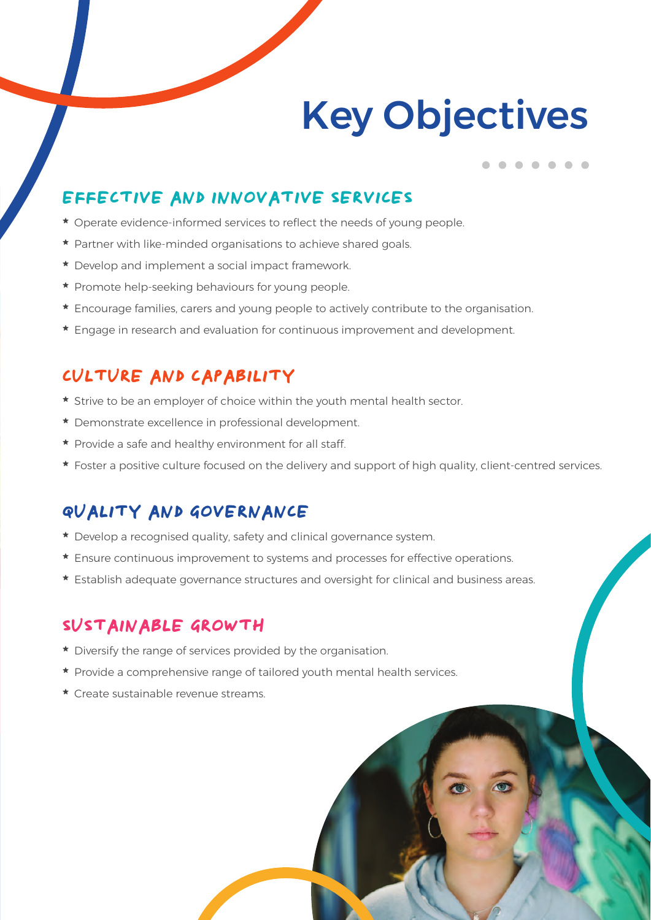# Key Objectives

### **EFFECTIVE AND INNOVATIVE SERVICES**

- \* Operate evidence-informed services to reflect the needs of young people.
- \* Partner with like-minded organisations to achieve shared goals.
- \* Develop and implement a social impact framework.
- \* Promote help-seeking behaviours for young people.
- \* Encourage families, carers and young people to actively contribute to the organisation.
- \* Engage in research and evaluation for continuous improvement and development.

#### **CULTURE AND CAPABILITY**

- \* Strive to be an employer of choice within the youth mental health sector.
- \* Demonstrate excellence in professional development.
- \* Provide a safe and healthy environment for all staff.
- \* Foster a positive culture focused on the delivery and support of high quality, client-centred services.

### **QUALITY AND GOVERNANCE**

- \* Develop a recognised quality, safety and clinical governance system.
- \* Ensure continuous improvement to systems and processes for effective operations.
- \* Establish adequate governance structures and oversight for clinical and business areas.

#### **SUSTAINABLE GROWTH**

- \* Diversify the range of services provided by the organisation.
- \* Provide a comprehensive range of tailored youth mental health services.
- \* Create sustainable revenue streams.